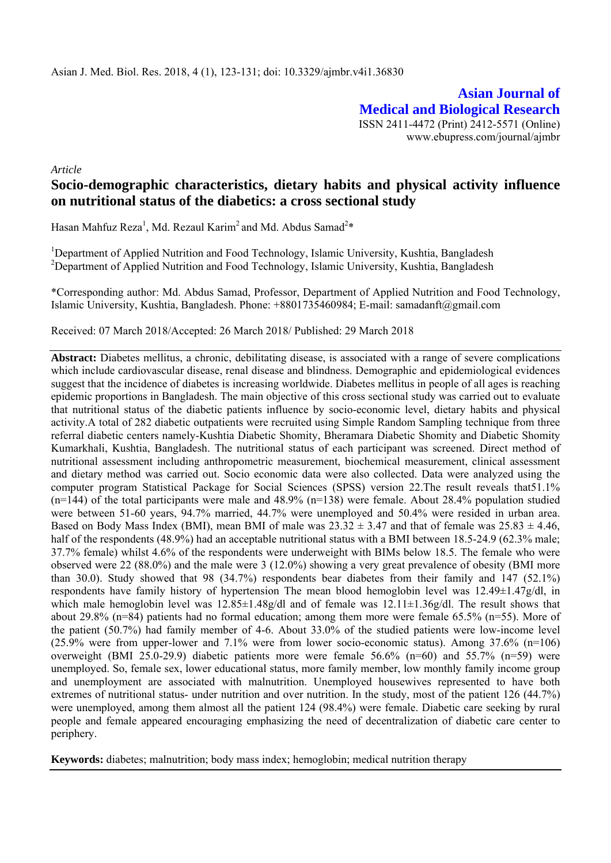**Asian Journal of Medical and Biological Research** ISSN 2411-4472 (Print) 2412-5571 (Online) www.ebupress.com/journal/ajmbr

*Article* 

# **Socio-demographic characteristics, dietary habits and physical activity influence on nutritional status of the diabetics: a cross sectional study**

Hasan Mahfuz Reza<sup>1</sup>, Md. Rezaul Karim<sup>2</sup> and Md. Abdus Samad<sup>2\*</sup>

<sup>1</sup>Department of Applied Nutrition and Food Technology, Islamic University, Kushtia, Bangladesh <sup>2</sup>Department of Applied Nutrition and Food Technology, Islamic University, Kushtia, Bangladesh

\*Corresponding author: Md. Abdus Samad, Professor, Department of Applied Nutrition and Food Technology, Islamic University, Kushtia, Bangladesh. Phone: +8801735460984; E-mail: samadanft@gmail.com

Received: 07 March 2018/Accepted: 26 March 2018/ Published: 29 March 2018

Abstract: Diabetes mellitus, a chronic, debilitating disease, is associated with a range of severe complications which include cardiovascular disease, renal disease and blindness. Demographic and epidemiological evidences suggest that the incidence of diabetes is increasing worldwide. Diabetes mellitus in people of all ages is reaching epidemic proportions in Bangladesh. The main objective of this cross sectional study was carried out to evaluate that nutritional status of the diabetic patients influence by socio-economic level, dietary habits and physical activity.A total of 282 diabetic outpatients were recruited using Simple Random Sampling technique from three referral diabetic centers namely-Kushtia Diabetic Shomity, Bheramara Diabetic Shomity and Diabetic Shomity Kumarkhali, Kushtia, Bangladesh. The nutritional status of each participant was screened. Direct method of nutritional assessment including anthropometric measurement, biochemical measurement, clinical assessment and dietary method was carried out. Socio economic data were also collected. Data were analyzed using the computer program Statistical Package for Social Sciences (SPSS) version 22.The result reveals that51.1%  $(n=144)$  of the total participants were male and 48.9%  $(n=138)$  were female. About 28.4% population studied were between 51-60 years, 94.7% married, 44.7% were unemployed and 50.4% were resided in urban area. Based on Body Mass Index (BMI), mean BMI of male was  $23.32 \pm 3.47$  and that of female was  $25.83 \pm 4.46$ , half of the respondents (48.9%) had an acceptable nutritional status with a BMI between 18.5-24.9 (62.3% male; 37.7% female) whilst 4.6% of the respondents were underweight with BIMs below 18.5. The female who were observed were 22 (88.0%) and the male were 3 (12.0%) showing a very great prevalence of obesity (BMI more than 30.0). Study showed that 98 (34.7%) respondents bear diabetes from their family and 147 (52.1%) respondents have family history of hypertension The mean blood hemoglobin level was 12.49±1.47g/dl, in which male hemoglobin level was  $12.85\pm1.48g/d$  and of female was  $12.11\pm1.36g/d$ . The result shows that about 29.8% (n=84) patients had no formal education; among them more were female 65.5% (n=55). More of the patient (50.7%) had family member of 4-6. About 33.0% of the studied patients were low-income level (25.9% were from upper-lower and 7.1% were from lower socio-economic status). Among 37.6% (n=106) overweight (BMI 25.0-29.9) diabetic patients more were female 56.6% (n=60) and 55.7% (n=59) were unemployed. So, female sex, lower educational status, more family member, low monthly family income group and unemployment are associated with malnutrition. Unemployed housewives represented to have both extremes of nutritional status- under nutrition and over nutrition. In the study, most of the patient 126 (44.7%) were unemployed, among them almost all the patient 124 (98.4%) were female. Diabetic care seeking by rural people and female appeared encouraging emphasizing the need of decentralization of diabetic care center to periphery.

**Keywords:** diabetes; malnutrition; body mass index; hemoglobin; medical nutrition therapy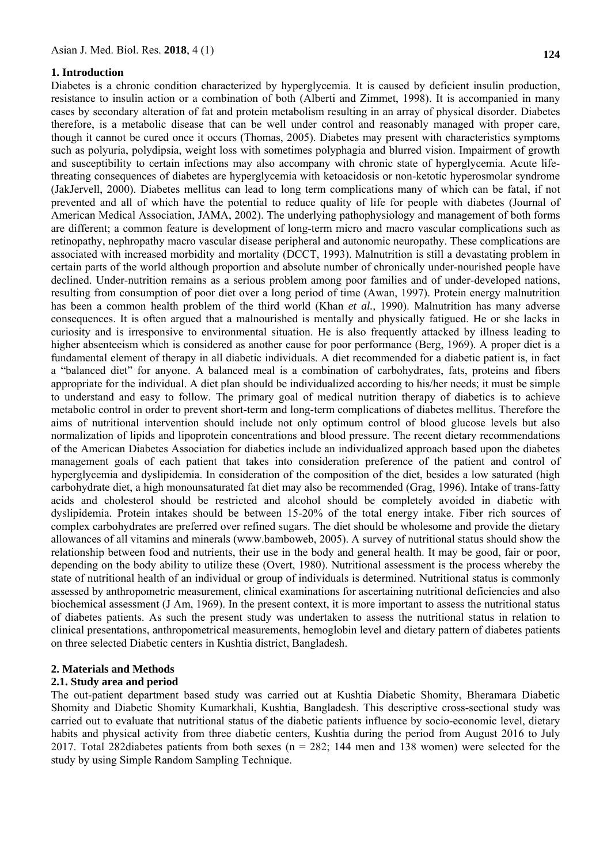#### **1. Introduction**

Diabetes is a chronic condition characterized by hyperglycemia. It is caused by deficient insulin production, resistance to insulin action or a combination of both (Alberti and Zimmet, 1998). It is accompanied in many cases by secondary alteration of fat and protein metabolism resulting in an array of physical disorder. Diabetes therefore, is a metabolic disease that can be well under control and reasonably managed with proper care, though it cannot be cured once it occurs (Thomas, 2005). Diabetes may present with characteristics symptoms such as polyuria, polydipsia, weight loss with sometimes polyphagia and blurred vision. Impairment of growth and susceptibility to certain infections may also accompany with chronic state of hyperglycemia. Acute lifethreating consequences of diabetes are hyperglycemia with ketoacidosis or non-ketotic hyperosmolar syndrome (JakJervell, 2000). Diabetes mellitus can lead to long term complications many of which can be fatal, if not prevented and all of which have the potential to reduce quality of life for people with diabetes (Journal of American Medical Association, JAMA, 2002). The underlying pathophysiology and management of both forms are different; a common feature is development of long-term micro and macro vascular complications such as retinopathy, nephropathy macro vascular disease peripheral and autonomic neuropathy. These complications are associated with increased morbidity and mortality (DCCT, 1993). Malnutrition is still a devastating problem in certain parts of the world although proportion and absolute number of chronically under-nourished people have declined. Under-nutrition remains as a serious problem among poor families and of under-developed nations, resulting from consumption of poor diet over a long period of time (Awan, 1997). Protein energy malnutrition has been a common health problem of the third world (Khan *et al.,* 1990). Malnutrition has many adverse consequences. It is often argued that a malnourished is mentally and physically fatigued. He or she lacks in curiosity and is irresponsive to environmental situation. He is also frequently attacked by illness leading to higher absenteeism which is considered as another cause for poor performance (Berg, 1969). A proper diet is a fundamental element of therapy in all diabetic individuals. A diet recommended for a diabetic patient is, in fact a "balanced diet" for anyone. A balanced meal is a combination of carbohydrates, fats, proteins and fibers appropriate for the individual. A diet plan should be individualized according to his/her needs; it must be simple to understand and easy to follow. The primary goal of medical nutrition therapy of diabetics is to achieve metabolic control in order to prevent short-term and long-term complications of diabetes mellitus. Therefore the aims of nutritional intervention should include not only optimum control of blood glucose levels but also normalization of lipids and lipoprotein concentrations and blood pressure. The recent dietary recommendations of the American Diabetes Association for diabetics include an individualized approach based upon the diabetes management goals of each patient that takes into consideration preference of the patient and control of hyperglycemia and dyslipidemia. In consideration of the composition of the diet, besides a low saturated (high carbohydrate diet, a high monounsaturated fat diet may also be recommended (Grag, 1996). Intake of trans-fatty acids and cholesterol should be restricted and alcohol should be completely avoided in diabetic with dyslipidemia. Protein intakes should be between 15-20% of the total energy intake. Fiber rich sources of complex carbohydrates are preferred over refined sugars. The diet should be wholesome and provide the dietary allowances of all vitamins and minerals (www.bamboweb, 2005). A survey of nutritional status should show the relationship between food and nutrients, their use in the body and general health. It may be good, fair or poor, depending on the body ability to utilize these (Overt, 1980). Nutritional assessment is the process whereby the state of nutritional health of an individual or group of individuals is determined. Nutritional status is commonly assessed by anthropometric measurement, clinical examinations for ascertaining nutritional deficiencies and also biochemical assessment (J Am, 1969). In the present context, it is more important to assess the nutritional status of diabetes patients. As such the present study was undertaken to assess the nutritional status in relation to clinical presentations, anthropometrical measurements, hemoglobin level and dietary pattern of diabetes patients on three selected Diabetic centers in Kushtia district, Bangladesh.

## **2. Materials and Methods**

## **2.1. Study area and period**

The out-patient department based study was carried out at Kushtia Diabetic Shomity, Bheramara Diabetic Shomity and Diabetic Shomity Kumarkhali, Kushtia, Bangladesh. This descriptive cross-sectional study was carried out to evaluate that nutritional status of the diabetic patients influence by socio-economic level, dietary habits and physical activity from three diabetic centers, Kushtia during the period from August 2016 to July 2017. Total 282diabetes patients from both sexes (n = 282; 144 men and 138 women) were selected for the study by using Simple Random Sampling Technique.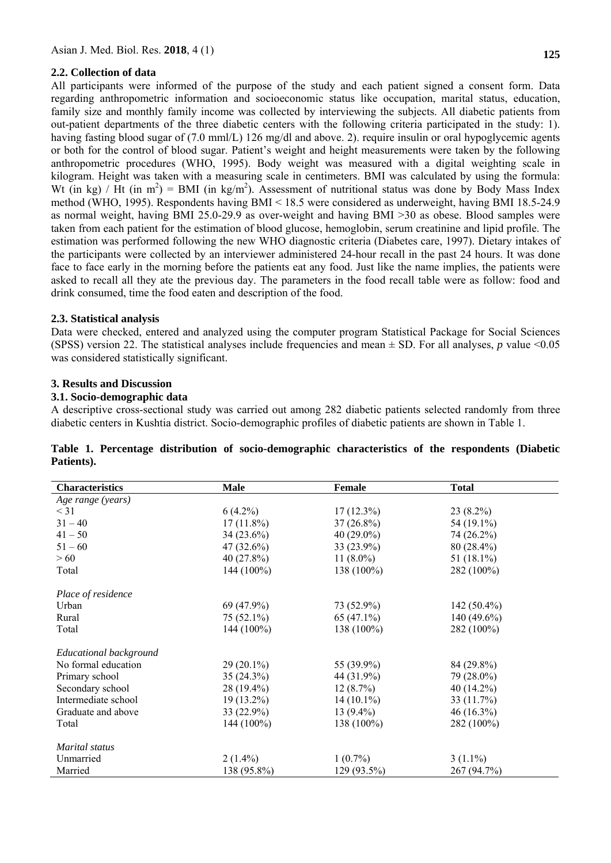# **2.2. Collection of data**

All participants were informed of the purpose of the study and each patient signed a consent form. Data regarding anthropometric information and socioeconomic status like occupation, marital status, education, family size and monthly family income was collected by interviewing the subjects. All diabetic patients from out-patient departments of the three diabetic centers with the following criteria participated in the study: 1). having fasting blood sugar of (7.0 mml/L) 126 mg/dl and above. 2), require insulin or oral hypoglycemic agents or both for the control of blood sugar. Patient's weight and height measurements were taken by the following anthropometric procedures (WHO, 1995). Body weight was measured with a digital weighting scale in kilogram. Height was taken with a measuring scale in centimeters. BMI was calculated by using the formula: Wt (in kg) / Ht (in m<sup>2</sup>) = BMI (in kg/m<sup>2</sup>). Assessment of nutritional status was done by Body Mass Index method (WHO, 1995). Respondents having BMI ˂ 18.5 were considered as underweight, having BMI 18.5-24.9 as normal weight, having BMI 25.0-29.9 as over-weight and having BMI ˃30 as obese. Blood samples were taken from each patient for the estimation of blood glucose, hemoglobin, serum creatinine and lipid profile. The estimation was performed following the new WHO diagnostic criteria (Diabetes care, 1997). Dietary intakes of the participants were collected by an interviewer administered 24-hour recall in the past 24 hours. It was done face to face early in the morning before the patients eat any food. Just like the name implies, the patients were asked to recall all they ate the previous day. The parameters in the food recall table were as follow: food and drink consumed, time the food eaten and description of the food.

# **2.3. Statistical analysis**

Data were checked, entered and analyzed using the computer program Statistical Package for Social Sciences (SPSS) version 22. The statistical analyses include frequencies and mean  $\pm$  SD. For all analyses, *p* value <0.05 was considered statistically significant.

# **3. Results and Discussion**

## **3.1. Socio-demographic data**

A descriptive cross-sectional study was carried out among 282 diabetic patients selected randomly from three diabetic centers in Kushtia district. Socio-demographic profiles of diabetic patients are shown in Table 1.

| <b>Characteristics</b> | <b>Male</b>  | Female       | <b>Total</b>  |
|------------------------|--------------|--------------|---------------|
| Age range (years)      |              |              |               |
| $\leq$ 31              | $6(4.2\%)$   | $17(12.3\%)$ | $23(8.2\%)$   |
| $31 - 40$              | $17(11.8\%)$ | $37(26.8\%)$ | 54 (19.1%)    |
| $41 - 50$              | $34(23.6\%)$ | $40(29.0\%)$ | 74 (26.2%)    |
| $51 - 60$              | $47(32.6\%)$ | 33 (23.9%)   | 80 (28.4%)    |
| >60                    | 40(27.8%)    | 11 $(8.0\%)$ | 51 $(18.1\%)$ |
| Total                  | $144(100\%)$ | 138 (100%)   | 282 (100%)    |
| Place of residence     |              |              |               |
| Urban                  | $69(47.9\%)$ | 73 (52.9%)   | $142(50.4\%)$ |
| Rural                  | $75(52.1\%)$ | $65(47.1\%)$ | 140 (49.6%)   |
| Total                  | $144(100\%)$ | $138(100\%)$ | 282 (100%)    |
| Educational background |              |              |               |
| No formal education    | $29(20.1\%)$ | 55 (39.9%)   | 84 (29.8%)    |
| Primary school         | 35(24.3%)    | 44 (31.9%)   | 79 (28.0%)    |
| Secondary school       | $28(19.4\%)$ | 12(8.7%)     | 40 (14.2%)    |
| Intermediate school    | $19(13.2\%)$ | $14(10.1\%)$ | 33 (11.7%)    |
| Graduate and above     | $33(22.9\%)$ | $13(9.4\%)$  | $46(16.3\%)$  |
| Total                  | 144 (100%)   | 138 (100%)   | 282 (100%)    |
| Marital status         |              |              |               |
| Unmarried              | $2(1.4\%)$   | $1(0.7\%)$   | $3(1.1\%)$    |
| Married                | 138 (95.8%)  | 129 (93.5%)  | 267 (94.7%)   |

|            |  |  | Table 1. Percentage distribution of socio-demographic characteristics of the respondents (Diabetic |  |  |  |
|------------|--|--|----------------------------------------------------------------------------------------------------|--|--|--|
| Patients). |  |  |                                                                                                    |  |  |  |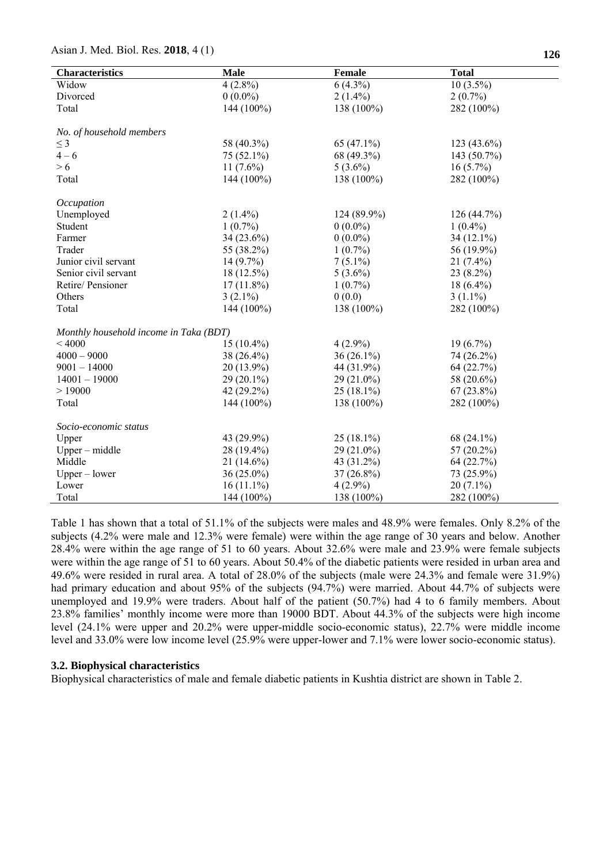| <b>Characteristics</b>                 | <b>Male</b>  | Female        | <b>Total</b>  |
|----------------------------------------|--------------|---------------|---------------|
| Widow                                  | $4(2.8\%)$   | $6(4.3\%)$    | $10(3.5\%)$   |
| Divorced                               | $0(0.0\%)$   | $2(1.4\%)$    | $2(0.7\%)$    |
| Total                                  | 144 (100%)   | 138 (100%)    | 282 (100%)    |
|                                        |              |               |               |
| No. of household members               |              |               |               |
| $\leq$ 3                               | 58 (40.3%)   | 65 $(47.1\%)$ | $123(43.6\%)$ |
| $4 - 6$                                | 75 (52.1%)   | 68 (49.3%)    | 143 (50.7%)   |
| > 6                                    | 11 $(7.6\%)$ | $5(3.6\%)$    | $16(5.7\%)$   |
| Total                                  | 144 (100%)   | 138 (100%)    | 282 (100%)    |
| Occupation                             |              |               |               |
| Unemployed                             | $2(1.4\%)$   | 124 (89.9%)   | 126 (44.7%)   |
| Student                                | $1(0.7\%)$   | $0(0.0\%)$    | $1(0.4\%)$    |
| Farmer                                 | 34 (23.6%)   | $0(0.0\%)$    | 34 (12.1%)    |
| Trader                                 | 55 (38.2%)   | $1(0.7\%)$    | 56 (19.9%)    |
| Junior civil servant                   | $14(9.7\%)$  | $7(5.1\%)$    | $21(7.4\%)$   |
| Senior civil servant                   | $18(12.5\%)$ | $5(3.6\%)$    | $23(8.2\%)$   |
| Retire/Pensioner                       | $17(11.8\%)$ | $1(0.7\%)$    | $18(6.4\%)$   |
| Others                                 | $3(2.1\%)$   | 0(0.0)        | $3(1.1\%)$    |
| Total                                  | 144 (100%)   | 138 (100%)    | 282 (100%)    |
|                                        |              |               |               |
| Monthly household income in Taka (BDT) |              |               |               |
| ${}<$ 4000                             | $15(10.4\%)$ | $4(2.9\%)$    | $19(6.7\%)$   |
| $4000 - 9000$                          | 38 (26.4%)   | $36(26.1\%)$  | 74 (26.2%)    |
| $9001 - 14000$                         | 20 (13.9%)   | 44 (31.9%)    | 64 (22.7%)    |
| $14001 - 19000$                        | $29(20.1\%)$ | 29 (21.0%)    | 58 (20.6%)    |
| >19000                                 | 42 (29.2%)   | $25(18.1\%)$  | $67(23.8\%)$  |
| Total                                  | 144 (100%)   | 138 (100%)    | 282 (100%)    |
| Socio-economic status                  |              |               |               |
| Upper                                  | 43 (29.9%)   | $25(18.1\%)$  | 68 (24.1%)    |
| $Upper - middle$                       | 28 (19.4%)   | 29 (21.0%)    | 57 $(20.2\%)$ |
| Middle                                 | $21(14.6\%)$ | 43 (31.2%)    | 64 (22.7%)    |
| $Upper - lower$                        | $36(25.0\%)$ | $37(26.8\%)$  | 73 (25.9%)    |
| Lower                                  | $16(11.1\%)$ | $4(2.9\%)$    | $20(7.1\%)$   |
| Total                                  | 144 (100%)   | 138 (100%)    | 282 (100%)    |
|                                        |              |               |               |

Table 1 has shown that a total of 51.1% of the subjects were males and 48.9% were females. Only 8.2% of the subjects (4.2% were male and 12.3% were female) were within the age range of 30 years and below. Another 28.4% were within the age range of 51 to 60 years. About 32.6% were male and 23.9% were female subjects were within the age range of 51 to 60 years. About 50.4% of the diabetic patients were resided in urban area and 49.6% were resided in rural area. A total of 28.0% of the subjects (male were 24.3% and female were 31.9%) had primary education and about 95% of the subjects (94.7%) were married. About 44.7% of subjects were unemployed and 19.9% were traders. About half of the patient (50.7%) had 4 to 6 family members. About 23.8% families' monthly income were more than 19000 BDT. About 44.3% of the subjects were high income level (24.1% were upper and 20.2% were upper-middle socio-economic status), 22.7% were middle income level and 33.0% were low income level (25.9% were upper-lower and 7.1% were lower socio-economic status).

#### **3.2. Biophysical characteristics**

Biophysical characteristics of male and female diabetic patients in Kushtia district are shown in Table 2.

# Asian J. Med. Biol. Res. **2018**, 4 (1) **126**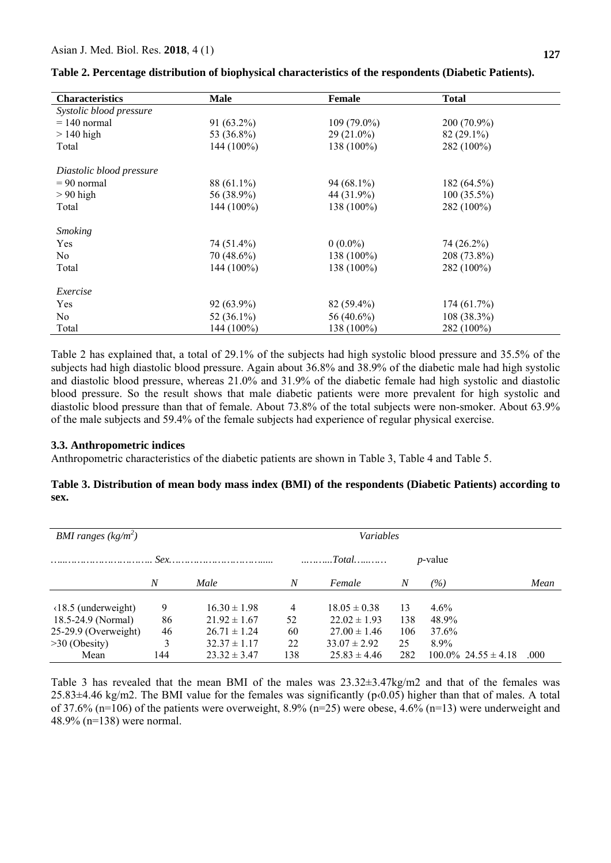| <b>Characteristics</b>   | <b>Male</b>   | <b>Female</b> | <b>Total</b>  |  |
|--------------------------|---------------|---------------|---------------|--|
| Systolic blood pressure  |               |               |               |  |
| $= 140$ normal           | $91(63.2\%)$  | $109(79.0\%)$ | 200 (70.9%)   |  |
| $>140$ high              | 53 (36.8%)    | $29(21.0\%)$  | $82(29.1\%)$  |  |
| Total                    | 144 (100%)    | 138 (100%)    | 282 (100%)    |  |
| Diastolic blood pressure |               |               |               |  |
| $= 90$ normal            | 88 (61.1%)    | $94(68.1\%)$  | 182 (64.5%)   |  |
| $> 90$ high              | 56 (38.9%)    | 44 (31.9%)    | $100(35.5\%)$ |  |
| Total                    | $144(100\%)$  | 138 (100%)    | 282 (100%)    |  |
| <b>Smoking</b>           |               |               |               |  |
| Yes                      | 74 (51.4%)    | $0(0.0\%)$    | 74 (26.2%)    |  |
| No.                      | 70 (48.6%)    | 138 (100%)    | 208 (73.8%)   |  |
| Total                    | 144 (100%)    | 138 (100%)    | 282 (100%)    |  |
| Exercise                 |               |               |               |  |
| Yes                      | 92 (63.9%)    | $82(59.4\%)$  | 174(61.7%)    |  |
| N <sub>0</sub>           | 52 $(36.1\%)$ | 56 $(40.6\%)$ | $108(38.3\%)$ |  |
| Total                    | 144 (100%)    | 138 (100%)    | 282 (100%)    |  |

|  |  | Table 2. Percentage distribution of biophysical characteristics of the respondents (Diabetic Patients). |
|--|--|---------------------------------------------------------------------------------------------------------|
|  |  |                                                                                                         |

Table 2 has explained that, a total of 29.1% of the subjects had high systolic blood pressure and 35.5% of the subjects had high diastolic blood pressure. Again about 36.8% and 38.9% of the diabetic male had high systolic and diastolic blood pressure, whereas 21.0% and 31.9% of the diabetic female had high systolic and diastolic blood pressure. So the result shows that male diabetic patients were more prevalent for high systolic and diastolic blood pressure than that of female. About 73.8% of the total subjects were non-smoker. About 63.9% of the male subjects and 59.4% of the female subjects had experience of regular physical exercise.

#### **3.3. Anthropometric indices**

Anthropometric characteristics of the diabetic patients are shown in Table 3, Table 4 and Table 5.

## **Table 3. Distribution of mean body mass index (BMI) of the respondents (Diabetic Patients) according to sex.**

| <b>BMI</b> ranges $(kg/m^2)$   |     |                  |                  | Variables                                          |     |                            |      |
|--------------------------------|-----|------------------|------------------|----------------------------------------------------|-----|----------------------------|------|
|                                |     |                  |                  | $\dots \dots \dots \dots To tal \dots \dots \dots$ |     | <i>p</i> -value            |      |
|                                | N   | Male             | $\boldsymbol{N}$ | Female                                             | N   | (%)                        | Mean |
| $(18.5 \text{ (underweight)})$ | 9   | $16.30 \pm 1.98$ | 4                | $18.05 \pm 0.38$                                   | 13  | $4.6\%$                    |      |
| 18.5-24.9 (Normal)             | 86  | $21.92 \pm 1.67$ | 52               | $22.02 \pm 1.93$                                   | 138 | 48.9%                      |      |
| 25-29.9 (Overweight)           | 46  | $26.71 \pm 1.24$ | 60               | $27.00 \pm 1.46$                                   | 106 | 37.6%                      |      |
| $>30$ (Obesity)                |     | $32.37 \pm 1.17$ | 22               | $33.07 \pm 2.92$                                   | 25  | $8.9\%$                    |      |
| Mean                           | 144 | $23.32 \pm 3.47$ | 138              | $25.83 \pm 4.46$                                   | 282 | $100.0\%$ 24.55 $\pm$ 4.18 | .000 |

Table 3 has revealed that the mean BMI of the males was  $23.32\pm3.47$ kg/m2 and that of the females was  $25.83\pm4.46$  kg/m2. The BMI value for the females was significantly ( $p(0.05)$ ) higher than that of males. A total of 37.6% (n=106) of the patients were overweight, 8.9% (n=25) were obese, 4.6% (n=13) were underweight and 48.9% (n=138) were normal.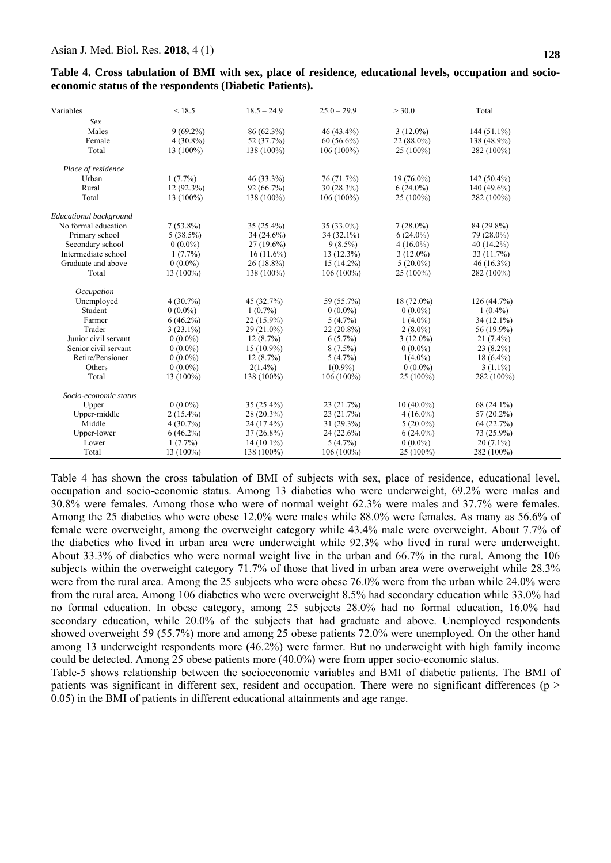| Variables              | < 18.5       | $18.5 - 24.9$ | $25.0 - 29.9$ | > 30.0       | Total         |  |
|------------------------|--------------|---------------|---------------|--------------|---------------|--|
| Sex                    |              |               |               |              |               |  |
| Males                  | $9(69.2\%)$  | 86 (62.3%)    | 46 (43.4%)    | $3(12.0\%)$  | $144(51.1\%)$ |  |
| Female                 | $4(30.8\%)$  | 52 (37.7%)    | $60(56.6\%)$  | 22 (88.0%)   | 138 (48.9%)   |  |
| Total                  | 13 (100%)    | 138 (100%)    | $106(100\%)$  | 25 (100%)    | 282 (100%)    |  |
| Place of residence     |              |               |               |              |               |  |
| Urban                  | $1(7.7\%)$   | 46 (33.3%)    | 76 (71.7%)    | $19(76.0\%)$ | $142(50.4\%)$ |  |
| Rural                  | $12(92.3\%)$ | 92 (66.7%)    | $30(28.3\%)$  | $6(24.0\%)$  | $140(49.6\%)$ |  |
| Total                  | 13 (100%)    | 138 (100%)    | $106(100\%)$  | $25(100\%)$  | 282 (100%)    |  |
| Educational background |              |               |               |              |               |  |
| No formal education    | $7(53.8\%)$  | $35(25.4\%)$  | $35(33.0\%)$  | $7(28.0\%)$  | 84 (29.8%)    |  |
| Primary school         | $5(38.5\%)$  | $34(24.6\%)$  | $34(32.1\%)$  | $6(24.0\%)$  | 79 (28.0%)    |  |
| Secondary school       | $0(0.0\%)$   | $27(19.6\%)$  | $9(8.5\%)$    | $4(16.0\%)$  | 40 (14.2%)    |  |
| Intermediate school    | $1(7.7\%)$   | $16(11.6\%)$  | $13(12.3\%)$  | $3(12.0\%)$  | 33 (11.7%)    |  |
| Graduate and above     | $0(0.0\%)$   | $26(18.8\%)$  | $15(14.2\%)$  | $5(20.0\%)$  | $46(16.3\%)$  |  |
| Total                  | 13 (100%)    | 138 (100%)    | $106(100\%)$  | 25 (100%)    | 282 (100%)    |  |
| Occupation             |              |               |               |              |               |  |
| Unemployed             | $4(30.7\%)$  | 45 (32.7%)    | 59 (55.7%)    | 18 (72.0%)   | 126(44.7%)    |  |
| Student                | $0(0.0\%)$   | $1(0.7\%)$    | $0(0.0\%)$    | $0(0.0\%)$   | $1(0.4\%)$    |  |
| Farmer                 | $6(46.2\%)$  | 22 (15.9%)    | $5(4.7\%)$    | $1(4.0\%)$   | 34 (12.1%)    |  |
| Trader                 | $3(23.1\%)$  | $29(21.0\%)$  | $22(20.8\%)$  | $2(8.0\%)$   | 56 (19.9%)    |  |
| Junior civil servant   | $0(0.0\%)$   | 12(8.7%)      | $6(5.7\%)$    | $3(12.0\%)$  | $21(7.4\%)$   |  |
| Senior civil servant   | $0(0.0\%)$   | 15 (10.9%)    | $8(7.5\%)$    | $0(0.0\%)$   | $23(8.2\%)$   |  |
| Retire/Pensioner       | $0(0.0\%)$   | 12(8.7%)      | 5(4.7%)       | $1(4.0\%)$   | $18(6.4\%)$   |  |
| Others                 | $0(0.0\%)$   | $2(1.4\%)$    | $1(0.9\%)$    | $0(0.0\%)$   | $3(1.1\%)$    |  |
| Total                  | 13 (100%)    | 138 (100%)    | $106(100\%)$  | $25(100\%)$  | 282 (100%)    |  |
| Socio-economic status  |              |               |               |              |               |  |
| Upper                  | $0(0.0\%)$   | $35(25.4\%)$  | 23 (21.7%)    | $10(40.0\%)$ | $68(24.1\%)$  |  |
| Upper-middle           | $2(15.4\%)$  | $28(20.3\%)$  | 23(21.7%)     | $4(16.0\%)$  | 57 $(20.2\%)$ |  |
| Middle                 | $4(30.7\%)$  | 24 (17.4%)    | $31(29.3\%)$  | $5(20.0\%)$  | 64 (22.7%)    |  |
| Upper-lower            | $6(46.2\%)$  | $37(26.8\%)$  | 24 (22.6%)    | $6(24.0\%)$  | 73 (25.9%)    |  |
| Lower                  | $1(7.7\%)$   | $14(10.1\%)$  | $5(4.7\%)$    | $0(0.0\%)$   | $20(7.1\%)$   |  |
| Total                  | 13 (100%)    | 138 (100%)    | $106(100\%)$  | $25(100\%)$  | 282 (100%)    |  |
|                        |              |               |               |              |               |  |

**Table 4. Cross tabulation of BMI with sex, place of residence, educational levels, occupation and socioeconomic status of the respondents (Diabetic Patients).**

Table 4 has shown the cross tabulation of BMI of subjects with sex, place of residence, educational level, occupation and socio-economic status. Among 13 diabetics who were underweight, 69.2% were males and 30.8% were females. Among those who were of normal weight 62.3% were males and 37.7% were females. Among the 25 diabetics who were obese 12.0% were males while 88.0% were females. As many as 56.6% of female were overweight, among the overweight category while 43.4% male were overweight. About 7.7% of the diabetics who lived in urban area were underweight while 92.3% who lived in rural were underweight. About 33.3% of diabetics who were normal weight live in the urban and 66.7% in the rural. Among the 106 subjects within the overweight category 71.7% of those that lived in urban area were overweight while 28.3% were from the rural area. Among the 25 subjects who were obese 76.0% were from the urban while 24.0% were from the rural area. Among 106 diabetics who were overweight 8.5% had secondary education while 33.0% had no formal education. In obese category, among 25 subjects 28.0% had no formal education, 16.0% had secondary education, while 20.0% of the subjects that had graduate and above. Unemployed respondents showed overweight 59 (55.7%) more and among 25 obese patients 72.0% were unemployed. On the other hand among 13 underweight respondents more (46.2%) were farmer. But no underweight with high family income could be detected. Among 25 obese patients more (40.0%) were from upper socio-economic status.

Table-5 shows relationship between the socioeconomic variables and BMI of diabetic patients. The BMI of patients was significant in different sex, resident and occupation. There were no significant differences ( $p$  > 0.05) in the BMI of patients in different educational attainments and age range.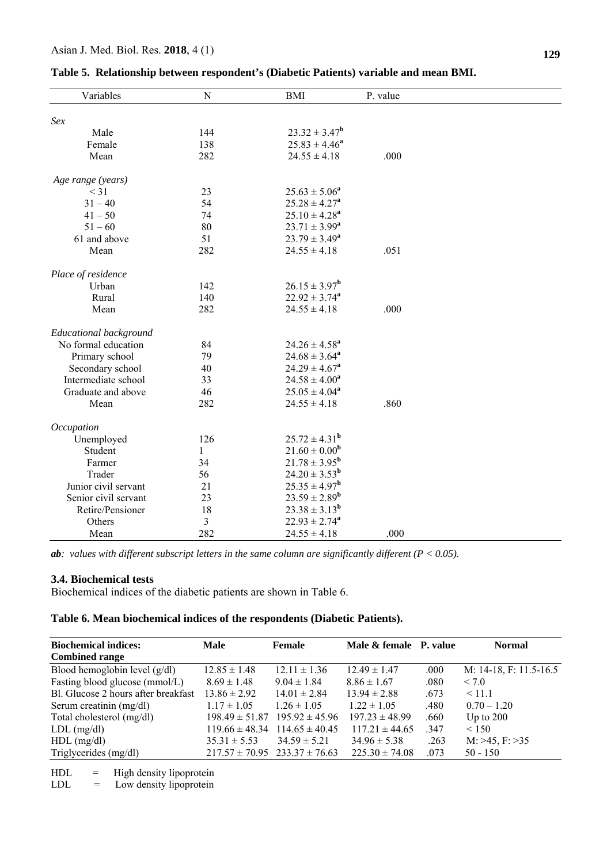| Sex<br>$23.32 \pm 3.47^b$<br>Male<br>144<br>$25.83 \pm 4.46^a$<br>Female<br>138<br>282<br>$24.55 \pm 4.18$<br>.000<br>Mean<br>Age range (years)<br>23<br>$25.63 \pm 5.06^a$<br>$<$ 31<br>54<br>$25.28 \pm 4.27^a$<br>$31 - 40$<br>$25.10 \pm 4.28^a$<br>$41 - 50$<br>74<br>$23.71 \pm 3.99^a$<br>$51 - 60$<br>80<br>51<br>$23.79 \pm 3.49^a$<br>61 and above<br>282<br>$24.55 \pm 4.18$<br>.051<br>Mean<br>Place of residence<br>$26.15 \pm 3.97^b$<br>142<br>Urban<br>140<br>$22.92 \pm 3.74^a$<br>Rural<br>282<br>Mean<br>.000<br>$24.55 \pm 4.18$<br>Educational background<br>No formal education<br>84<br>$24.26 \pm 4.58^a$<br>$24.68 \pm 3.64^a$<br>Primary school<br>79<br>$24.29 \pm 4.67^a$<br>Secondary school<br>40 |  |
|---------------------------------------------------------------------------------------------------------------------------------------------------------------------------------------------------------------------------------------------------------------------------------------------------------------------------------------------------------------------------------------------------------------------------------------------------------------------------------------------------------------------------------------------------------------------------------------------------------------------------------------------------------------------------------------------------------------------------------|--|
|                                                                                                                                                                                                                                                                                                                                                                                                                                                                                                                                                                                                                                                                                                                                 |  |
|                                                                                                                                                                                                                                                                                                                                                                                                                                                                                                                                                                                                                                                                                                                                 |  |
|                                                                                                                                                                                                                                                                                                                                                                                                                                                                                                                                                                                                                                                                                                                                 |  |
|                                                                                                                                                                                                                                                                                                                                                                                                                                                                                                                                                                                                                                                                                                                                 |  |
|                                                                                                                                                                                                                                                                                                                                                                                                                                                                                                                                                                                                                                                                                                                                 |  |
|                                                                                                                                                                                                                                                                                                                                                                                                                                                                                                                                                                                                                                                                                                                                 |  |
|                                                                                                                                                                                                                                                                                                                                                                                                                                                                                                                                                                                                                                                                                                                                 |  |
|                                                                                                                                                                                                                                                                                                                                                                                                                                                                                                                                                                                                                                                                                                                                 |  |
|                                                                                                                                                                                                                                                                                                                                                                                                                                                                                                                                                                                                                                                                                                                                 |  |
|                                                                                                                                                                                                                                                                                                                                                                                                                                                                                                                                                                                                                                                                                                                                 |  |
|                                                                                                                                                                                                                                                                                                                                                                                                                                                                                                                                                                                                                                                                                                                                 |  |
|                                                                                                                                                                                                                                                                                                                                                                                                                                                                                                                                                                                                                                                                                                                                 |  |
|                                                                                                                                                                                                                                                                                                                                                                                                                                                                                                                                                                                                                                                                                                                                 |  |
|                                                                                                                                                                                                                                                                                                                                                                                                                                                                                                                                                                                                                                                                                                                                 |  |
|                                                                                                                                                                                                                                                                                                                                                                                                                                                                                                                                                                                                                                                                                                                                 |  |
|                                                                                                                                                                                                                                                                                                                                                                                                                                                                                                                                                                                                                                                                                                                                 |  |
|                                                                                                                                                                                                                                                                                                                                                                                                                                                                                                                                                                                                                                                                                                                                 |  |
|                                                                                                                                                                                                                                                                                                                                                                                                                                                                                                                                                                                                                                                                                                                                 |  |
|                                                                                                                                                                                                                                                                                                                                                                                                                                                                                                                                                                                                                                                                                                                                 |  |
|                                                                                                                                                                                                                                                                                                                                                                                                                                                                                                                                                                                                                                                                                                                                 |  |
| 33<br>$24.58 \pm 4.00^a$<br>Intermediate school                                                                                                                                                                                                                                                                                                                                                                                                                                                                                                                                                                                                                                                                                 |  |
| Graduate and above<br>46<br>$25.05 \pm 4.04^a$                                                                                                                                                                                                                                                                                                                                                                                                                                                                                                                                                                                                                                                                                  |  |
| 282<br>.860<br>Mean<br>$24.55 \pm 4.18$                                                                                                                                                                                                                                                                                                                                                                                                                                                                                                                                                                                                                                                                                         |  |
| Occupation                                                                                                                                                                                                                                                                                                                                                                                                                                                                                                                                                                                                                                                                                                                      |  |
| $25.72 \pm 4.31^{\rm b}$<br>126<br>Unemployed                                                                                                                                                                                                                                                                                                                                                                                                                                                                                                                                                                                                                                                                                   |  |
| $21.60 \pm 0.00^b$<br>Student<br>$\mathbf{1}$                                                                                                                                                                                                                                                                                                                                                                                                                                                                                                                                                                                                                                                                                   |  |
| $21.78 \pm 3.95^{\rm b}$<br>34<br>Farmer                                                                                                                                                                                                                                                                                                                                                                                                                                                                                                                                                                                                                                                                                        |  |
| $24.20 \pm 3.53^{\rm b}$<br>Trader<br>56                                                                                                                                                                                                                                                                                                                                                                                                                                                                                                                                                                                                                                                                                        |  |
| $25.35 \pm 4.97^b$<br>Junior civil servant<br>21                                                                                                                                                                                                                                                                                                                                                                                                                                                                                                                                                                                                                                                                                |  |
| $23.59 \pm 2.89^b$<br>23<br>Senior civil servant                                                                                                                                                                                                                                                                                                                                                                                                                                                                                                                                                                                                                                                                                |  |
| $23.38 \pm 3.13^b$<br>18<br>Retire/Pensioner                                                                                                                                                                                                                                                                                                                                                                                                                                                                                                                                                                                                                                                                                    |  |
| 3<br>$22.93 \pm 2.74^a$<br>Others                                                                                                                                                                                                                                                                                                                                                                                                                                                                                                                                                                                                                                                                                               |  |
| 282<br>$24.55 \pm 4.18$<br>Mean<br>.000                                                                                                                                                                                                                                                                                                                                                                                                                                                                                                                                                                                                                                                                                         |  |

**Table 5. Relationship between respondent's (Diabetic Patients) variable and mean BMI.** 

*ab: values with different subscript letters in the same column are significantly different (P < 0.05)*.

# **3.4. Biochemical tests**

Biochemical indices of the diabetic patients are shown in Table 6.

# **Table 6. Mean biochemical indices of the respondents (Diabetic Patients).**

| <b>Biochemical indices:</b>         | <b>Male</b>        | Female                                | Male & female P. value |      | <b>Normal</b>          |
|-------------------------------------|--------------------|---------------------------------------|------------------------|------|------------------------|
| <b>Combined range</b>               |                    |                                       |                        |      |                        |
| Blood hemoglobin level $(g/dl)$     | $12.85 \pm 1.48$   | $12.11 \pm 1.36$                      | $12.49 \pm 1.47$       | .000 | M: 14-18, F: 11.5-16.5 |
| Fasting blood glucose (mmol/L)      | $8.69 \pm 1.48$    | $9.04 \pm 1.84$                       | $8.86 \pm 1.67$        | .080 | < 7.0                  |
| Bl. Glucose 2 hours after breakfast | $13.86 \pm 2.92$   | $14.01 \pm 2.84$                      | $13.94 \pm 2.88$       | .673 | < 11.1                 |
| Serum creatinin (mg/dl)             | $1.17 \pm 1.05$    | $1.26 \pm 1.05$                       | $1.22 \pm 1.05$        | .480 | $0.70 - 1.20$          |
| Total cholesterol (mg/dl)           | $198.49 \pm 51.87$ | $195.92 \pm 45.96$                    | $197.23 \pm 48.99$     | .660 | Up to $200$            |
| $LDL$ (mg/dl)                       | $119.66 \pm 48.34$ | $114.65 \pm 40.45$                    | $117.21 \pm 44.65$     | .347 | < 150                  |
| $HDL$ (mg/dl)                       | $35.31 \pm 5.53$   | $34.59 \pm 5.21$                      | $34.96 \pm 5.38$       | .263 | M: >45, F: >35         |
| Triglycerides (mg/dl)               |                    | $217.57 \pm 70.95$ $233.37 \pm 76.63$ | $225.30 \pm 74.08$     | .073 | $50 - 150$             |

 $HDL = High density lipoprotein$ 

 $LDL = Low density lipoprotein$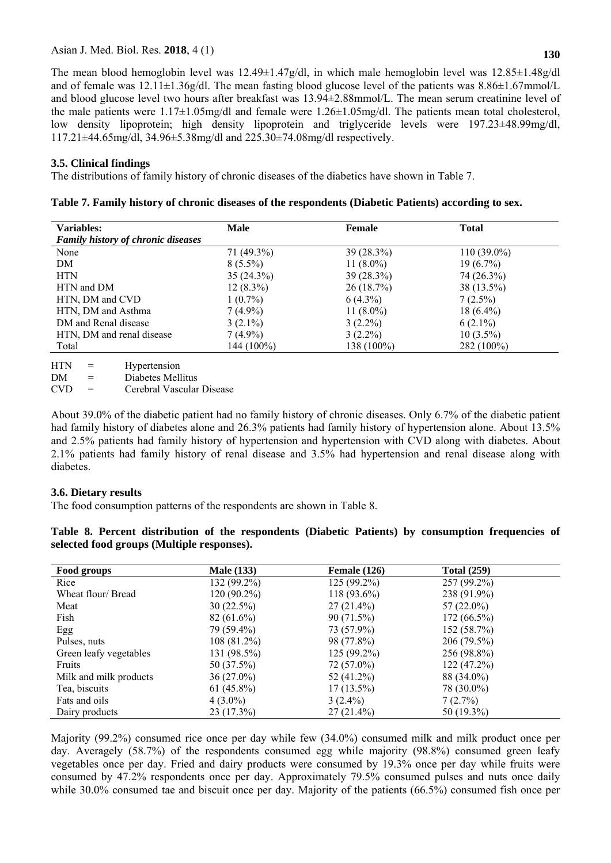The mean blood hemoglobin level was 12.49±1.47g/dl, in which male hemoglobin level was 12.85±1.48g/dl and of female was  $12.11\pm1.36g/dl$ . The mean fasting blood glucose level of the patients was  $8.86\pm1.67$ mmol/L and blood glucose level two hours after breakfast was 13.94±2.88mmol/L. The mean serum creatinine level of the male patients were  $1.17\pm1.05$ mg/dl and female were  $1.26\pm1.05$ mg/dl. The patients mean total cholesterol, low density lipoprotein; high density lipoprotein and triglyceride levels were 197.23±48.99mg/dl, 117.21±44.65mg/dl, 34.96±5.38mg/dl and 225.30±74.08mg/dl respectively.

# **3.5. Clinical findings**

The distributions of family history of chronic diseases of the diabetics have shown in Table 7.

| <b>Variables:</b>                         | <b>Male</b>  | Female       | <b>Total</b>  |  |
|-------------------------------------------|--------------|--------------|---------------|--|
| <b>Family history of chronic diseases</b> |              |              |               |  |
| None                                      | 71 (49.3%)   | $39(28.3\%)$ | $110(39.0\%)$ |  |
| DM                                        | $8(5.5\%)$   | 11 $(8.0\%)$ | $19(6.7\%)$   |  |
| <b>HTN</b>                                | $35(24.3\%)$ | $39(28.3\%)$ | 74 (26.3%)    |  |
| HTN and DM                                | $12(8.3\%)$  | 26(18.7%)    | 38 (13.5%)    |  |
| HTN, DM and CVD                           | $1(0.7\%)$   | $6(4.3\%)$   | $7(2.5\%)$    |  |
| HTN, DM and Asthma                        | $7(4.9\%)$   | 11 $(8.0\%)$ | $18(6.4\%)$   |  |
| DM and Renal disease                      | $3(2.1\%)$   | $3(2.2\%)$   | $6(2.1\%)$    |  |
| HTN, DM and renal disease                 | $7(4.9\%)$   | $3(2.2\%)$   | $10(3.5\%)$   |  |
| Total                                     | 144 (100%)   | 138 (100%)   | 282 (100%)    |  |
|                                           |              |              |               |  |

**Table 7. Family history of chronic diseases of the respondents (Diabetic Patients) according to sex.** 

HTN = Hypertension

DM = Diabetes Mellitus

CVD = Cerebral Vascular Disease

About 39.0% of the diabetic patient had no family history of chronic diseases. Only 6.7% of the diabetic patient had family history of diabetes alone and 26.3% patients had family history of hypertension alone. About 13.5% and 2.5% patients had family history of hypertension and hypertension with CVD along with diabetes. About 2.1% patients had family history of renal disease and 3.5% had hypertension and renal disease along with diabetes.

## **3.6. Dietary results**

The food consumption patterns of the respondents are shown in Table 8.

|  |                                            |  |  | Table 8. Percent distribution of the respondents (Diabetic Patients) by consumption frequencies of |  |
|--|--------------------------------------------|--|--|----------------------------------------------------------------------------------------------------|--|
|  | selected food groups (Multiple responses). |  |  |                                                                                                    |  |

| Food groups            | <b>Male</b> (133) | Female $(126)$ | <b>Total (259)</b> |  |
|------------------------|-------------------|----------------|--------------------|--|
| Rice                   | 132 (99.2%)       | $125(99.2\%)$  | 257 (99.2%)        |  |
| Wheat flour/Bread      | 120 (90.2%)       | $118(93.6\%)$  | 238 (91.9%)        |  |
| Meat                   | 30(22.5%)         | $27(21.4\%)$   | $57(22.0\%)$       |  |
| Fish                   | $82(61.6\%)$      | 90(71.5%)      | $172(66.5\%)$      |  |
| Egg                    | 79 (59.4%)        | 73 (57.9%)     | 152 (58.7%)        |  |
| Pulses, nuts           | $108(81.2\%)$     | 98 (77.8%)     | $206(79.5\%)$      |  |
| Green leafy vegetables | 131 (98.5%)       | $125(99.2\%)$  | 256 (98.8%)        |  |
| Fruits                 | 50 (37.5%)        | $72(57.0\%)$   | 122(47.2%)         |  |
| Milk and milk products | 36 (27.0%)        | 52 (41.2%)     | 88 (34.0%)         |  |
| Tea, biscuits          | $61(45.8\%)$      | $17(13.5\%)$   | 78 (30.0%)         |  |
| Fats and oils          | $4(3.0\%)$        | $3(2.4\%)$     | 7(2.7%)            |  |
| Dairy products         | 23 (17.3%)        | $27(21.4\%)$   | $50(19.3\%)$       |  |

Majority (99.2%) consumed rice once per day while few (34.0%) consumed milk and milk product once per day. Averagely (58.7%) of the respondents consumed egg while majority (98.8%) consumed green leafy vegetables once per day. Fried and dairy products were consumed by 19.3% once per day while fruits were consumed by 47.2% respondents once per day. Approximately 79.5% consumed pulses and nuts once daily while 30.0% consumed tae and biscuit once per day. Majority of the patients (66.5%) consumed fish once per